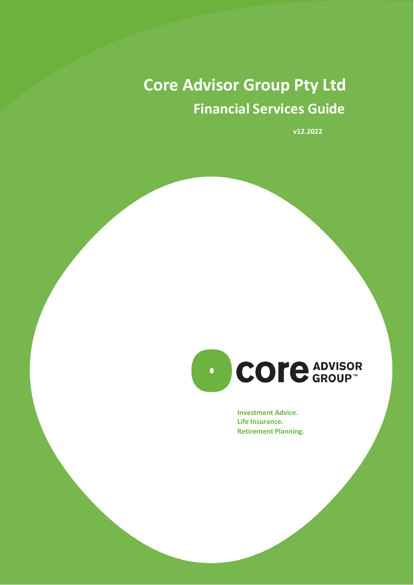# **Core Advisor Group Pty Ltd Financial Services Guide**

**v12.2022**



**Investment Advice. Life Insurance. Retirement Planning.**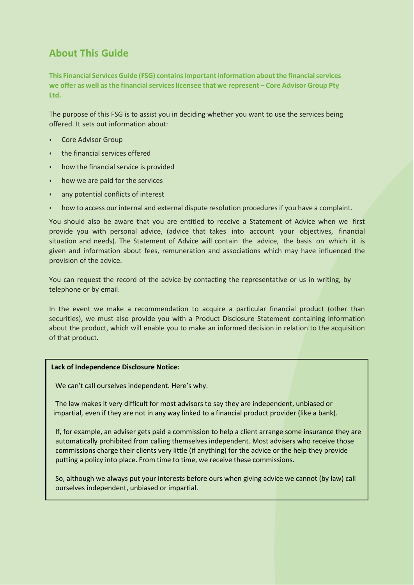# **About This Guide**

**This Financial ServicesGuide (FSG) containsimportantinformation about the financialservices we offer as well asthe financialserviceslicensee that we represent – Core Advisor Group Pty Ltd.**

The purpose of this FSG is to assist you in deciding whether you want to use the services being offered. It sets out information about:

- Core Advisor Group
- the financial services offered
- how the financial service is provided
- how we are paid for the services
- any potential conflicts of interest
- how to access our internal and external dispute resolution procedures if you have a complaint.

You should also be aware that you are entitled to receive a Statement of Advice when we first provide you with personal advice, (advice that takes into account your objectives, financial situation and needs). The Statement of Advice will contain the advice, the basis on which it is given and information about fees, remuneration and associations which may have influenced the provision of the advice.

You can request the record of the advice by contacting the representative or us in writing, by telephone or by email.

In the event we make a recommendation to acquire a particular financial product (other than securities), we must also provide you with a Product Disclosure Statement containing information about the product, which will enable you to make an informed decision in relation to the acquisition of that product.

#### **Lack of Independence Disclosure Notice:**

We can't call ourselves independent. Here's why.

The law makes it very difficult for most advisors to say they are independent, unbiased or impartial, even if they are not in any way linked to a financial product provider (like a bank).

If, for example, an adviser gets paid a commission to help a client arrange some insurance they are automatically prohibited from calling themselves independent. Most advisers who receive those commissions charge their clients very little (if anything) for the advice or the help they provide putting a policy into place. From time to time, we receive these commissions.

So, although we always put your interests before ours when giving advice we cannot (by law) call ourselves independent, unbiased or impartial.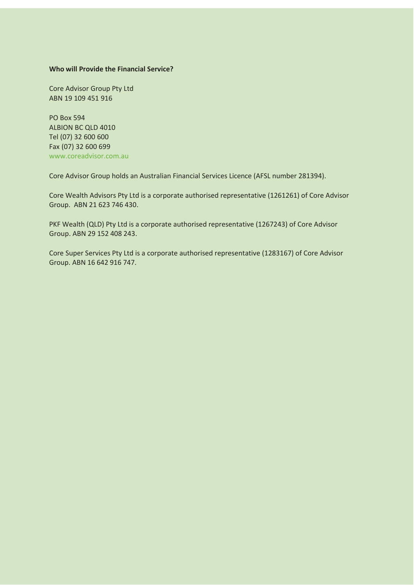#### **Who will Provide the Financial Service?**

Core Advisor Group Pty Ltd ABN 19 109 451 916

PO Box 594 ALBION BC QLD 4010 Tel (07) 32 600 600 Fax (07) 32 600 699 [www.coreadvisor.com.au](http://www.coreadvisor.com.au/)

Core Advisor Group holds an Australian Financial Services Licence (AFSL number 281394).

Core Wealth Advisors Pty Ltd is a corporate authorised representative (1261261) of Core Advisor Group. ABN 21 623 746 430.

PKF Wealth (QLD) Pty Ltd is a corporate authorised representative (1267243) of Core Advisor Group. ABN 29 152 408 243.

Core Super Services Pty Ltd is a corporate authorised representative (1283167) of Core Advisor Group. ABN 16 642 916 747.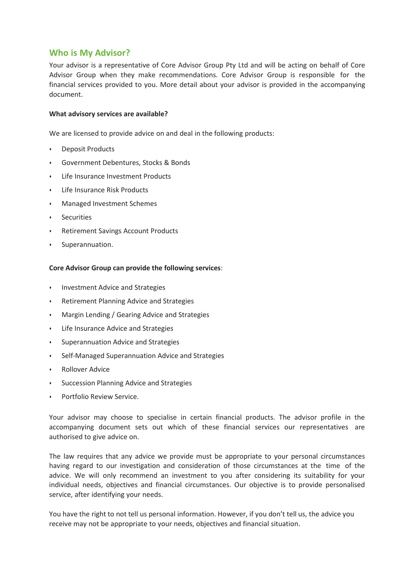## **Who is My Advisor?**

Your advisor is a representative of Core Advisor Group Pty Ltd and will be acting on behalf of Core Advisor Group when they make recommendations. Core Advisor Group is responsible for the financial services provided to you. More detail about your advisor is provided in the accompanying document.

#### **What advisory services are available?**

We are licensed to provide advice on and deal in the following products:

- Deposit Products
- Government Debentures, Stocks & Bonds
- Life Insurance Investment Products
- Life Insurance Risk Products
- Managed Investment Schemes
- **Securities**
- Retirement Savings Account Products
- Superannuation.

#### **Core Advisor Group can provide the following services**:

- Investment Advice and Strategies
- Retirement Planning Advice and Strategies
- Margin Lending / Gearing Advice and Strategies
- Life Insurance Advice and Strategies
- Superannuation Advice and Strategies
- Self-Managed Superannuation Advice and Strategies
- Rollover Advice
- Succession Planning Advice and Strategies
- Portfolio Review Service.

Your advisor may choose to specialise in certain financial products. The advisor profile in the accompanying document sets out which of these financial services our representatives are authorised to give advice on.

The law requires that any advice we provide must be appropriate to your personal circumstances having regard to our investigation and consideration of those circumstances at the time of the advice. We will only recommend an investment to you after considering its suitability for your individual needs, objectives and financial circumstances. Our objective is to provide personalised service, after identifying your needs.

You have the right to not tell us personal information. However, if you don't tell us, the advice you receive may not be appropriate to your needs, objectives and financial situation.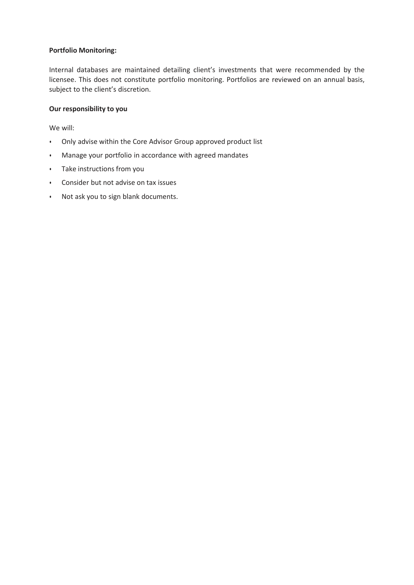## **Portfolio Monitoring:**

Internal databases are maintained detailing client's investments that were recommended by the licensee. This does not constitute portfolio monitoring. Portfolios are reviewed on an annual basis, subject to the client's discretion.

### **Our responsibility to you**

We will:

- Only advise within the Core Advisor Group approved product list
- Manage your portfolio in accordance with agreed mandates
- Take instructions from you
- Consider but not advise on tax issues
- Not ask you to sign blank documents.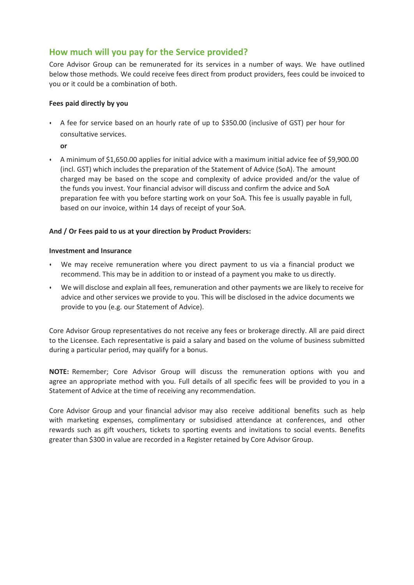# **How much will you pay for the Service provided?**

Core Advisor Group can be remunerated for its services in a number of ways. We have outlined below those methods. We could receive fees direct from product providers, fees could be invoiced to you or it could be a combination of both.

## **Fees paid directly by you**

• A fee for service based on an hourly rate of up to \$350.00 (inclusive of GST) per hour for consultative services.

**or**

• A minimum of \$1,650.00 applies for initial advice with a maximum initial advice fee of \$9,900.00 (incl. GST) which includes the preparation of the Statement of Advice (SoA). The amount charged may be based on the scope and complexity of advice provided and/or the value of the funds you invest. Your financial advisor will discuss and confirm the advice and SoA preparation fee with you before starting work on your SoA. This fee is usually payable in full, based on our invoice, within 14 days of receipt of your SoA.

## **And / Or Fees paid to us at your direction by Product Providers:**

## **Investment and Insurance**

- We may receive remuneration where you direct payment to us via a financial product we recommend. This may be in addition to or instead of a payment you make to us directly.
- We will disclose and explain all fees, remuneration and other payments we are likely to receive for advice and other services we provide to you. This will be disclosed in the advice documents we provide to you (e.g. our Statement of Advice).

Core Advisor Group representatives do not receive any fees or brokerage directly. All are paid direct to the Licensee. Each representative is paid a salary and based on the volume of business submitted during a particular period, may qualify for a bonus.

**NOTE:** Remember; Core Advisor Group will discuss the remuneration options with you and agree an appropriate method with you. Full details of all specific fees will be provided to you in a Statement of Advice at the time of receiving any recommendation.

Core Advisor Group and your financial advisor may also receive additional benefits such as help with marketing expenses, complimentary or subsidised attendance at conferences, and other rewards such as gift vouchers, tickets to sporting events and invitations to social events. Benefits greater than \$300 in value are recorded in a Register retained by Core Advisor Group.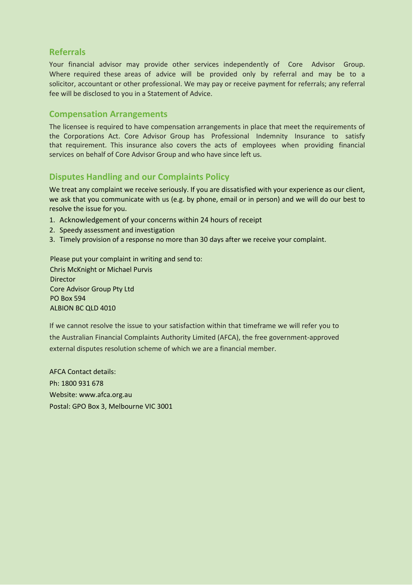## **Referrals**

Your financial advisor may provide other services independently of Core Advisor Group. Where required these areas of advice will be provided only by referral and may be to a solicitor, accountant or other professional. We may pay or receive payment for referrals; any referral fee will be disclosed to you in a Statement of Advice.

## **Compensation Arrangements**

The licensee is required to have compensation arrangements in place that meet the requirements of the Corporations Act. Core Advisor Group has Professional Indemnity Insurance to satisfy that requirement. This insurance also covers the acts of employees when providing financial services on behalf of Core Advisor Group and who have since left us.

# **Disputes Handling and our Complaints Policy**

We treat any complaint we receive seriously. If you are dissatisfied with your experience as our client, we ask that you communicate with us (e.g. by phone, email or in person) and we will do our best to resolve the issue for you.

- 1. Acknowledgement of your concerns within 24 hours of receipt
- 2. Speedy assessment and investigation
- 3. Timely provision of a response no more than 30 days after we receive your complaint.

Please put your complaint in writing and send to:

Chris McKnight or Michael Purvis **Director** Core Advisor Group Pty Ltd PO Box 594 ALBION BC QLD 4010

If we cannot resolve the issue to your satisfaction within that timeframe we will refer you to the Australian Financial Complaints Authority Limited (AFCA), the free government-approved external disputes resolution scheme of which we are a financial member.

AFCA Contact details: Ph: 1800 931 678 Website: [www.afca.org.au](http://www.afca.org.au/) Postal: GPO Box 3, Melbourne VIC 3001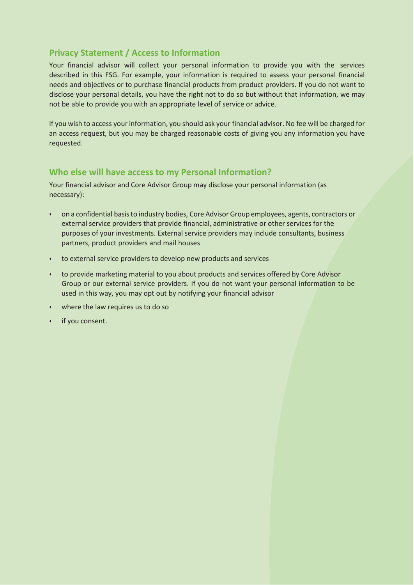# **Privacy Statement / Access to Information**

Your financial advisor will collect your personal information to provide you with the services described in this FSG. For example, your information is required to assess your personal financial needs and objectives or to purchase financial products from product providers. If you do not want to disclose your personal details, you have the right not to do so but without that information, we may not be able to provide you with an appropriate level of service or advice.

If you wish to access your information, you should ask your financial advisor. No fee will be charged for an access request, but you may be charged reasonable costs of giving you any information you have requested.

## **Who else will have access to my Personal Information?**

Your financial advisor and Core Advisor Group may disclose your personal information (as necessary):

- on a confidential basisto industry bodies, Core Advisor Group employees, agents, contractors or external service providers that provide financial, administrative or other services for the purposes of your investments. External service providers may include consultants, business partners, product providers and mail houses
- to external service providers to develop new products and services
- to provide marketing material to you about products and services offered by Core Advisor Group or our external service providers. If you do not want your personal information to be used in this way, you may opt out by notifying your financial advisor
- where the law requires us to do so
- if you consent.